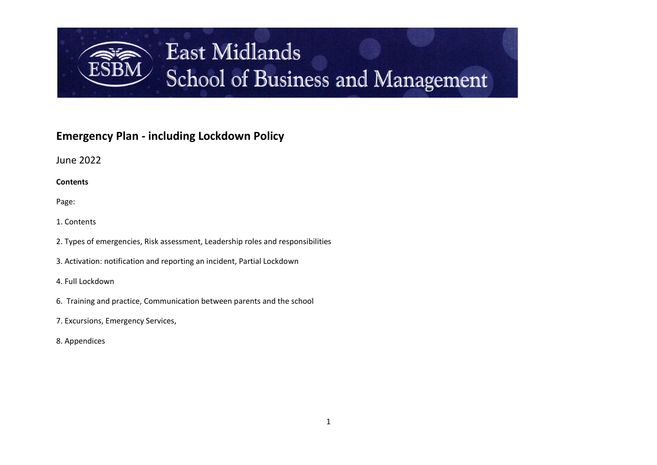

# **Emergency Plan - including Lockdown Policy**

June 2022

**Contents**

Page:

1. Contents

2. Types of emergencies, Risk assessment, Leadership roles and responsibilities

3. Activation: notification and reporting an incident, Partial Lockdown

4. Full Lockdown

- 6. Training and practice, Communication between parents and the school
- 7. Excursions, Emergency Services,
- 8. Appendices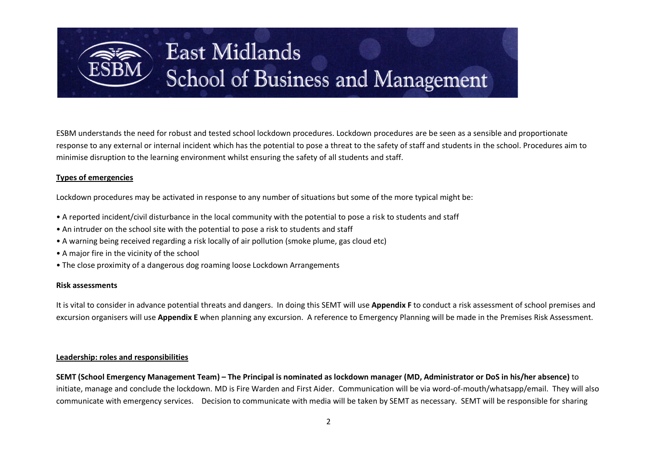

ESBM understands the need for robust and tested school lockdown procedures. Lockdown procedures are be seen as a sensible and proportionate response to any external or internal incident which has the potential to pose a threat to the safety of staff and students in the school. Procedures aim to minimise disruption to the learning environment whilst ensuring the safety of all students and staff.

### **Types of emergencies**

Lockdown procedures may be activated in response to any number of situations but some of the more typical might be:

- A reported incident/civil disturbance in the local community with the potential to pose a risk to students and staff
- An intruder on the school site with the potential to pose a risk to students and staff
- A warning being received regarding a risk locally of air pollution (smoke plume, gas cloud etc)
- A major fire in the vicinity of the school
- The close proximity of a dangerous dog roaming loose Lockdown Arrangements

#### **Risk assessments**

It is vital to consider in advance potential threats and dangers. In doing this SEMT will use **Appendix F** to conduct a risk assessment of school premises and excursion organisers will use **Appendix E** when planning any excursion. A reference to Emergency Planning will be made in the Premises Risk Assessment.

#### **Leadership: roles and responsibilities**

**SEMT (School Emergency Management Team) – The Principal is nominated as lockdown manager (MD, Administrator or DoS in his/her absence)** to initiate, manage and conclude the lockdown. MD is Fire Warden and First Aider. Communication will be via word-of-mouth/whatsapp/email. They will also communicate with emergency services. Decision to communicate with media will be taken by SEMT as necessary. SEMT will be responsible for sharing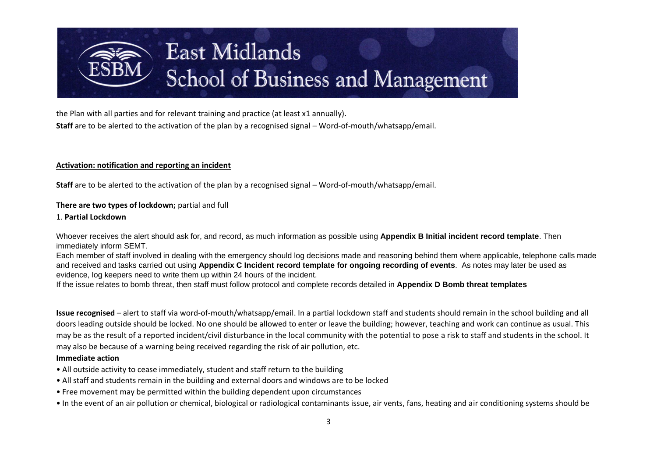

the Plan with all parties and for relevant training and practice (at least x1 annually). **Staff** are to be alerted to the activation of the plan by a recognised signal – Word-of-mouth/whatsapp/email.

### **Activation: notification and reporting an incident**

**Staff** are to be alerted to the activation of the plan by a recognised signal – Word-of-mouth/whatsapp/email.

### **There are two types of lockdown;** partial and full

#### 1. **Partial Lockdown**

Whoever receives the alert should ask for, and record, as much information as possible using **Appendix B Initial incident record template**. Then immediately inform SEMT.

Each member of staff involved in dealing with the emergency should log decisions made and reasoning behind them where applicable, telephone calls made and received and tasks carried out using **Appendix C Incident record template for ongoing recording of events**. As notes may later be used as evidence, log keepers need to write them up within 24 hours of the incident.

If the issue relates to bomb threat, then staff must follow protocol and complete records detailed in **Appendix D Bomb threat templates**

**Issue recognised** – alert to staff via word-of-mouth/whatsapp/email. In a partial lockdown staff and students should remain in the school building and all doors leading outside should be locked. No one should be allowed to enter or leave the building; however, teaching and work can continue as usual. This may be as the result of a reported incident/civil disturbance in the local community with the potential to pose a risk to staff and students in the school. It may also be because of a warning being received regarding the risk of air pollution, etc.

#### **Immediate action**

- All outside activity to cease immediately, student and staff return to the building
- All staff and students remain in the building and external doors and windows are to be locked
- Free movement may be permitted within the building dependent upon circumstances
- In the event of an air pollution or chemical, biological or radiological contaminants issue, air vents, fans, heating and air conditioning systems should be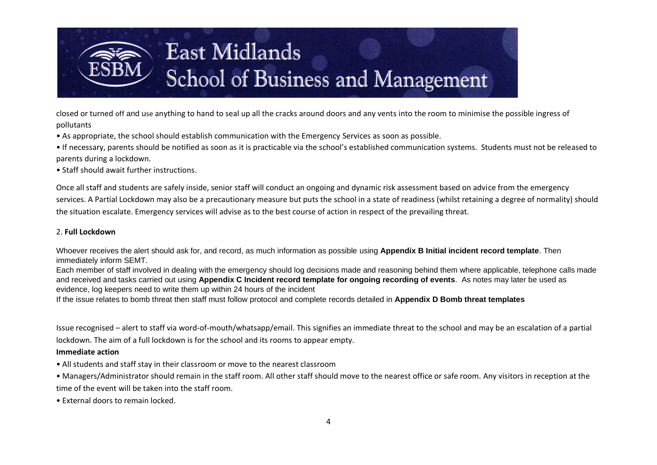

closed or turned off and use anything to hand to seal up all the cracks around doors and any vents into the room to minimise the possible ingress of pollutants

• As appropriate, the school should establish communication with the Emergency Services as soon as possible.

• If necessary, parents should be notified as soon as it is practicable via the school's established communication systems. Students must not be released to parents during a lockdown.

• Staff should await further instructions.

Once all staff and students are safely inside, senior staff will conduct an ongoing and dynamic risk assessment based on advice from the emergency services. A Partial Lockdown may also be a precautionary measure but puts the school in a state of readiness (whilst retaining a degree of normality) should the situation escalate. Emergency services will advise as to the best course of action in respect of the prevailing threat.

### 2. **Full Lockdown**

Whoever receives the alert should ask for, and record, as much information as possible using **Appendix B Initial incident record template**. Then immediately inform SEMT.

Each member of staff involved in dealing with the emergency should log decisions made and reasoning behind them where applicable, telephone calls made and received and tasks carried out using **Appendix C Incident record template for ongoing recording of events**. As notes may later be used as evidence, log keepers need to write them up within 24 hours of the incident

If the issue relates to bomb threat then staff must follow protocol and complete records detailed in **Appendix D Bomb threat templates**

Issue recognised – alert to staff via word-of-mouth/whatsapp/email. This signifies an immediate threat to the school and may be an escalation of a partial lockdown. The aim of a full lockdown is for the school and its rooms to appear empty.

#### **Immediate action**

- All students and staff stay in their classroom or move to the nearest classroom
- Managers/Administrator should remain in the staff room. All other staff should move to the nearest office or safe room. Any visitors in reception at the time of the event will be taken into the staff room.
- External doors to remain locked.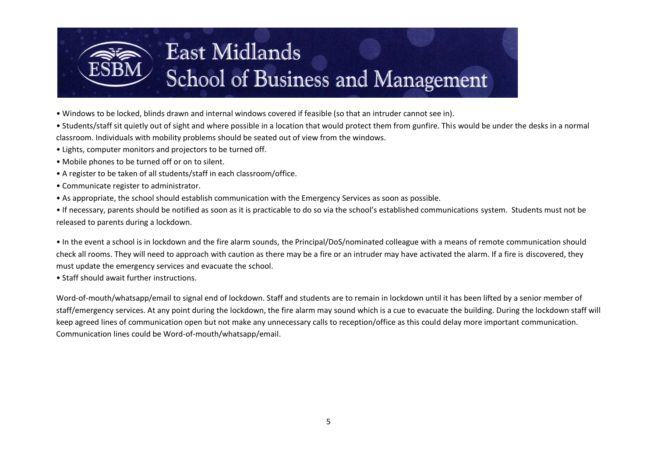

• Windows to be locked, blinds drawn and internal windows covered if feasible (so that an intruder cannot see in).

• Students/staff sit quietly out of sight and where possible in a location that would protect them from gunfire. This would be under the desks in a normal classroom. Individuals with mobility problems should be seated out of view from the windows.

- Lights, computer monitors and projectors to be turned off.
- Mobile phones to be turned off or on to silent.
- A register to be taken of all students/staff in each classroom/office.
- Communicate register to administrator.
- As appropriate, the school should establish communication with the Emergency Services as soon as possible.

• If necessary, parents should be notified as soon as it is practicable to do so via the school's established communications system. Students must not be released to parents during a lockdown.

• In the event a school is in lockdown and the fire alarm sounds, the Principal/DoS/nominated colleague with a means of remote communication should check all rooms. They will need to approach with caution as there may be a fire or an intruder may have activated the alarm. If a fire is discovered, they must update the emergency services and evacuate the school.

• Staff should await further instructions.

Word-of-mouth/whatsapp/email to signal end of lockdown. Staff and students are to remain in lockdown until it has been lifted by a senior member of staff/emergency services. At any point during the lockdown, the fire alarm may sound which is a cue to evacuate the building. During the lockdown staff will keep agreed lines of communication open but not make any unnecessary calls to reception/office as this could delay more important communication. Communication lines could be Word-of-mouth/whatsapp/email.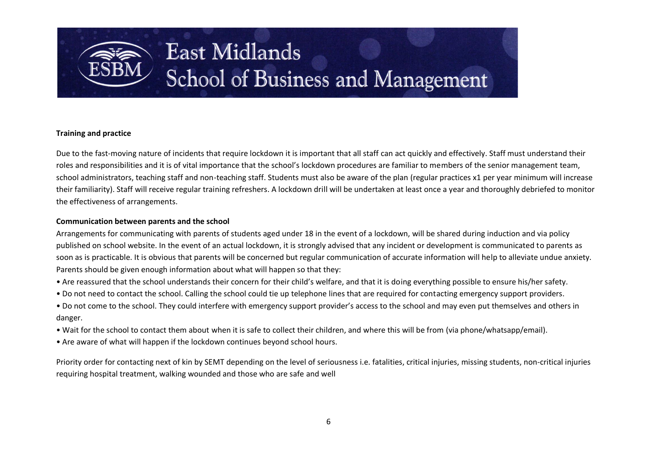

### **Training and practice**

Due to the fast-moving nature of incidents that require lockdown it is important that all staff can act quickly and effectively. Staff must understand their roles and responsibilities and it is of vital importance that the school's lockdown procedures are familiar to members of the senior management team, school administrators, teaching staff and non-teaching staff. Students must also be aware of the plan (regular practices x1 per year minimum will increase their familiarity). Staff will receive regular training refreshers. A lockdown drill will be undertaken at least once a year and thoroughly debriefed to monitor the effectiveness of arrangements.

#### **Communication between parents and the school**

Arrangements for communicating with parents of students aged under 18 in the event of a lockdown, will be shared during induction and via policy published on school website. In the event of an actual lockdown, it is strongly advised that any incident or development is communicated to parents as soon as is practicable. It is obvious that parents will be concerned but regular communication of accurate information will help to alleviate undue anxiety. Parents should be given enough information about what will happen so that they:

- Are reassured that the school understands their concern for their child's welfare, and that it is doing everything possible to ensure his/her safety.
- Do not need to contact the school. Calling the school could tie up telephone lines that are required for contacting emergency support providers.
- Do not come to the school. They could interfere with emergency support provider's access to the school and may even put themselves and others in danger.
- Wait for the school to contact them about when it is safe to collect their children, and where this will be from (via phone/whatsapp/email).
- Are aware of what will happen if the lockdown continues beyond school hours.

Priority order for contacting next of kin by SEMT depending on the level of seriousness i.e. fatalities, critical injuries, missing students, non-critical injuries requiring hospital treatment, walking wounded and those who are safe and well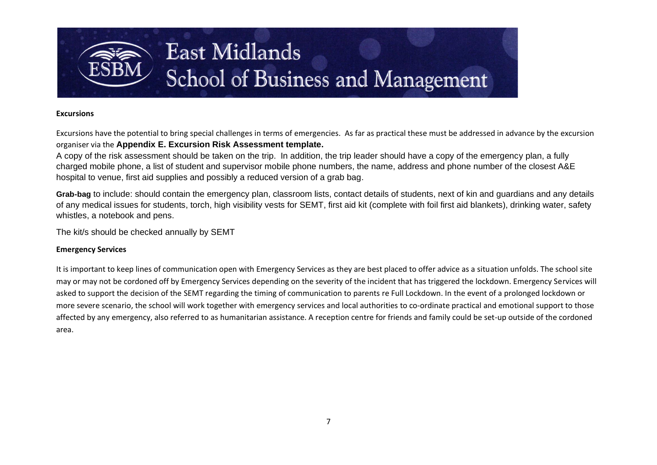

### **Excursions**

Excursions have the potential to bring special challenges in terms of emergencies. As far as practical these must be addressed in advance by the excursion organiser via the **Appendix E. Excursion Risk Assessment template.** 

A copy of the risk assessment should be taken on the trip. In addition, the trip leader should have a copy of the emergency plan, a fully charged mobile phone, a list of student and supervisor mobile phone numbers, the name, address and phone number of the closest A&E hospital to venue, first aid supplies and possibly a reduced version of a grab bag.

**Grab-bag** to include: should contain the emergency plan, classroom lists, contact details of students, next of kin and guardians and any details of any medical issues for students, torch, high visibility vests for SEMT, first aid kit (complete with foil first aid blankets), drinking water, safety whistles, a notebook and pens.

The kit/s should be checked annually by SEMT

### **Emergency Services**

It is important to keep lines of communication open with Emergency Services as they are best placed to offer advice as a situation unfolds. The school site may or may not be cordoned off by Emergency Services depending on the severity of the incident that has triggered the lockdown. Emergency Services will asked to support the decision of the SEMT regarding the timing of communication to parents re Full Lockdown. In the event of a prolonged lockdown or more severe scenario, the school will work together with emergency services and local authorities to co-ordinate practical and emotional support to those affected by any emergency, also referred to as humanitarian assistance. A reception centre for friends and family could be set-up outside of the cordoned area.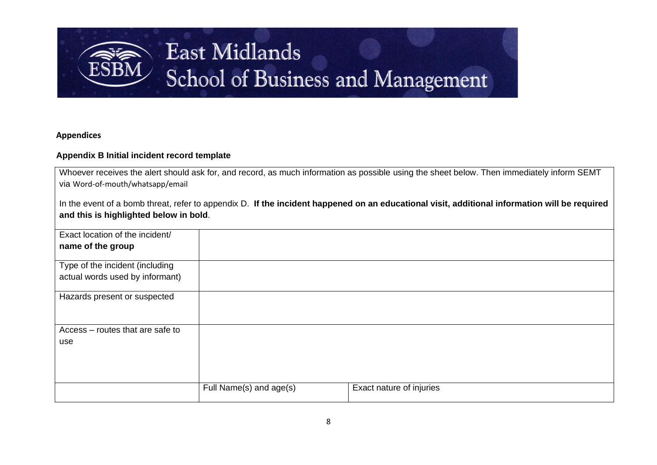

## **Appendices**

## **Appendix B Initial incident record template**

| Whoever receives the alert should ask for, and record, as much information as possible using the sheet below. Then immediately inform SEMT |  |
|--------------------------------------------------------------------------------------------------------------------------------------------|--|
| via Word-of-mouth/whatsapp/email                                                                                                           |  |

|                                        | In the event of a bomb threat, refer to appendix D. If the incident happened on an educational visit, additional information will be required |
|----------------------------------------|-----------------------------------------------------------------------------------------------------------------------------------------------|
| and this is highlighted below in bold. |                                                                                                                                               |

| Exact location of the incident/  |                         |                          |
|----------------------------------|-------------------------|--------------------------|
| name of the group                |                         |                          |
|                                  |                         |                          |
| Type of the incident (including  |                         |                          |
| actual words used by informant)  |                         |                          |
|                                  |                         |                          |
| Hazards present or suspected     |                         |                          |
|                                  |                         |                          |
|                                  |                         |                          |
| Access - routes that are safe to |                         |                          |
| use                              |                         |                          |
|                                  |                         |                          |
|                                  |                         |                          |
|                                  |                         |                          |
|                                  |                         |                          |
|                                  | Full Name(s) and age(s) | Exact nature of injuries |
|                                  |                         |                          |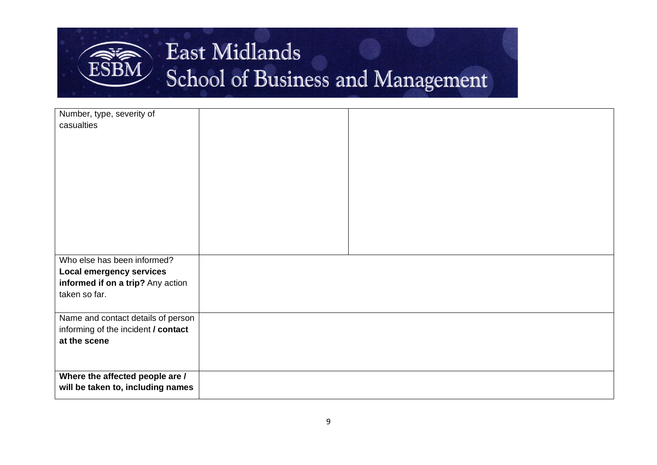

| Number, type, severity of           |  |
|-------------------------------------|--|
| casualties                          |  |
|                                     |  |
|                                     |  |
|                                     |  |
|                                     |  |
|                                     |  |
|                                     |  |
|                                     |  |
|                                     |  |
|                                     |  |
|                                     |  |
|                                     |  |
| Who else has been informed?         |  |
| <b>Local emergency services</b>     |  |
| informed if on a trip? Any action   |  |
| taken so far.                       |  |
|                                     |  |
| Name and contact details of person  |  |
| informing of the incident / contact |  |
| at the scene                        |  |
|                                     |  |
|                                     |  |
| Where the affected people are /     |  |
| will be taken to, including names   |  |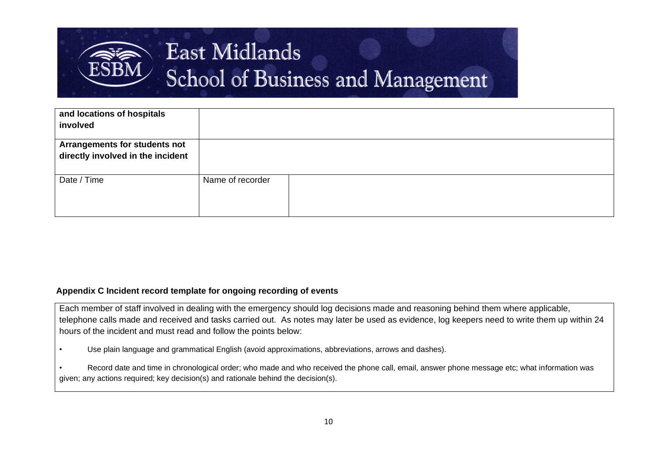

| and locations of hospitals<br>involved                             |                  |  |
|--------------------------------------------------------------------|------------------|--|
| Arrangements for students not<br>directly involved in the incident |                  |  |
| Date / Time                                                        | Name of recorder |  |

### **Appendix C Incident record template for ongoing recording of events**

Each member of staff involved in dealing with the emergency should log decisions made and reasoning behind them where applicable, telephone calls made and received and tasks carried out. As notes may later be used as evidence, log keepers need to write them up within 24 hours of the incident and must read and follow the points below:

• Use plain language and grammatical English (avoid approximations, abbreviations, arrows and dashes).

• Record date and time in chronological order; who made and who received the phone call, email, answer phone message etc; what information was given; any actions required; key decision(s) and rationale behind the decision(s).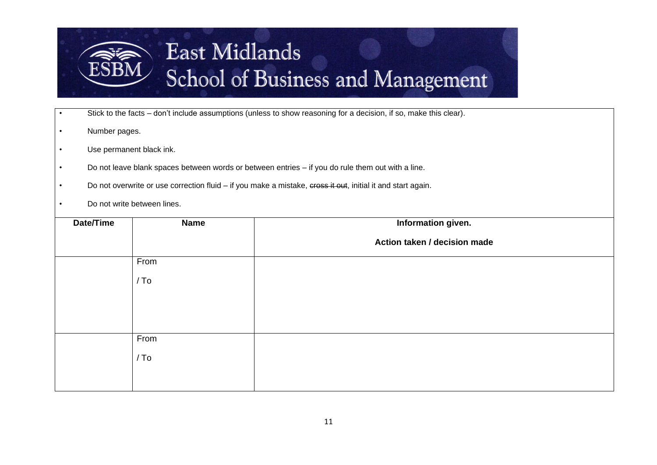

- Stick to the facts don't include assumptions (unless to show reasoning for a decision, if so, make this clear).
- Number pages.
- Use permanent black ink.
- Do not leave blank spaces between words or between entries if you do rule them out with a line.
- Do not overwrite or use correction fluid if you make a mistake, cross it out, initial it and start again.
- Do not write between lines.

| Date/Time | <b>Name</b> | Information given.           |
|-----------|-------------|------------------------------|
|           |             | Action taken / decision made |
|           | From        |                              |
|           | / To        |                              |
|           |             |                              |
|           |             |                              |
|           |             |                              |
|           | From        |                              |
|           | / To        |                              |
|           |             |                              |
|           |             |                              |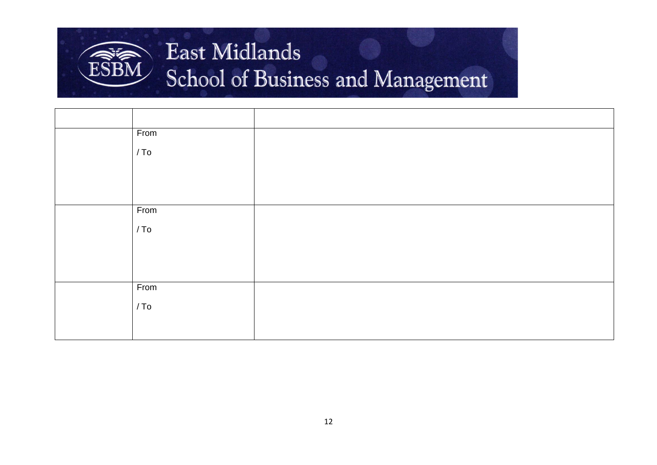

| From   |  |
|--------|--|
| / To   |  |
|        |  |
|        |  |
|        |  |
| From   |  |
| / To   |  |
|        |  |
|        |  |
|        |  |
| From   |  |
| $/$ To |  |
|        |  |
|        |  |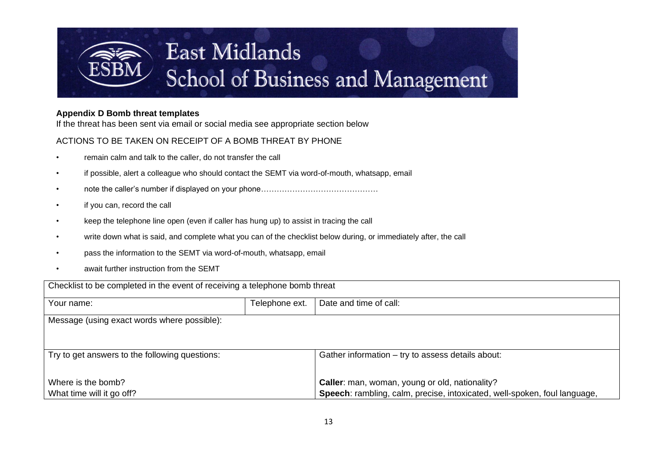

### **Appendix D Bomb threat templates**

If the threat has been sent via email or social media see appropriate section below

# ACTIONS TO BE TAKEN ON RECEIPT OF A BOMB THREAT BY PHONE

- remain calm and talk to the caller, do not transfer the call
- if possible, alert a colleague who should contact the SEMT via word-of-mouth, whatsapp, email
- note the caller's number if displayed on your phone………………………………………
- if you can, record the call
- keep the telephone line open (even if caller has hung up) to assist in tracing the call
- write down what is said, and complete what you can of the checklist below during, or immediately after, the call
- pass the information to the SEMT via word-of-mouth, whatsapp, email
- await further instruction from the SEMT

| Checklist to be completed in the event of receiving a telephone bomb threat |                |                                                                           |
|-----------------------------------------------------------------------------|----------------|---------------------------------------------------------------------------|
| Your name:                                                                  | Telephone ext. | Date and time of call:                                                    |
| Message (using exact words where possible):                                 |                |                                                                           |
| Try to get answers to the following questions:                              |                | Gather information - try to assess details about:                         |
| Where is the bomb?                                                          |                | Caller: man, woman, young or old, nationality?                            |
| What time will it go off?                                                   |                | Speech: rambling, calm, precise, intoxicated, well-spoken, foul language, |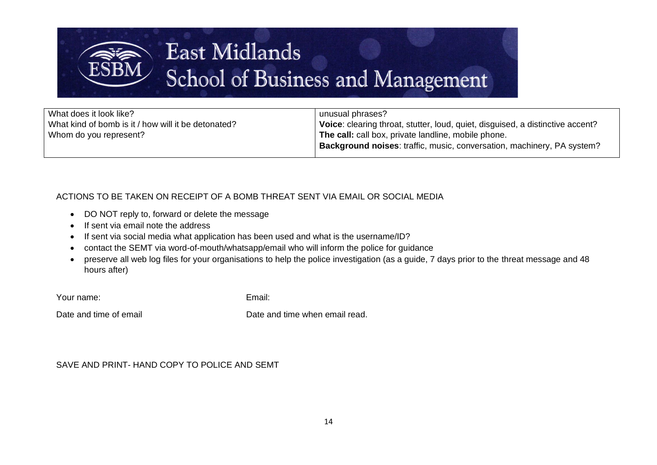

What does it look like? What kind of bomb is it / how will it be detonated? Whom do you represent?

unusual phrases? **Voice:** clearing throat, stutter, loud, quiet, disguised, a distinctive accent? **The call:** call box, private landline, mobile phone. **Background noises**: traffic, music, conversation, machinery, PA system?

# ACTIONS TO BE TAKEN ON RECEIPT OF A BOMB THREAT SENT VIA EMAIL OR SOCIAL MEDIA

- DO NOT reply to, forward or delete the message
- If sent via email note the address
- If sent via social media what application has been used and what is the username/ID?
- contact the SEMT via word-of-mouth/whatsapp/email who will inform the police for guidance
- preserve all web log files for your organisations to help the police investigation (as a guide, 7 days prior to the threat message and 48 hours after)

Your name: Email:

Date and time of email **Date and time when email read.** 

# SAVE AND PRINT- HAND COPY TO POLICE AND SEMT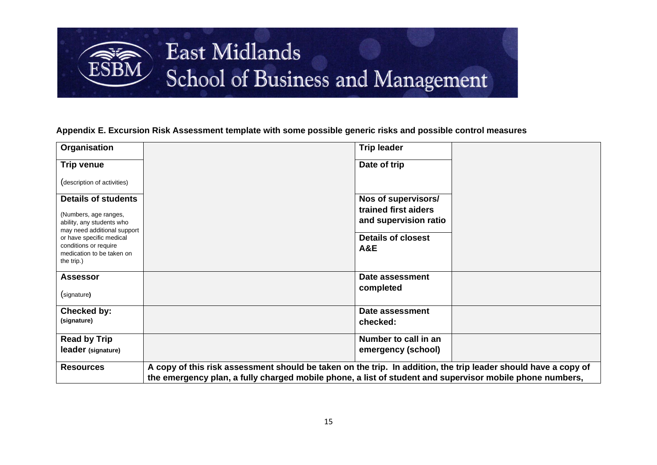

### **Appendix E. Excursion Risk Assessment template with some possible generic risks and possible control measures**

| Organisation                                                                                                    | <b>Trip leader</b>                                                                                                                                                                                                         |
|-----------------------------------------------------------------------------------------------------------------|----------------------------------------------------------------------------------------------------------------------------------------------------------------------------------------------------------------------------|
| <b>Trip venue</b>                                                                                               | Date of trip                                                                                                                                                                                                               |
| (description of activities)                                                                                     |                                                                                                                                                                                                                            |
| <b>Details of students</b><br>(Numbers, age ranges,<br>ability, any students who<br>may need additional support | Nos of supervisors/<br>trained first aiders<br>and supervision ratio                                                                                                                                                       |
| or have specific medical<br>conditions or require<br>medication to be taken on<br>the trip.)                    | <b>Details of closest</b><br><b>A&amp;E</b>                                                                                                                                                                                |
| <b>Assessor</b><br>(signature)                                                                                  | Date assessment<br>completed                                                                                                                                                                                               |
| Checked by:<br>(signature)                                                                                      | Date assessment<br>checked:                                                                                                                                                                                                |
| <b>Read by Trip</b>                                                                                             | Number to call in an                                                                                                                                                                                                       |
| leader (signature)                                                                                              | emergency (school)                                                                                                                                                                                                         |
| <b>Resources</b>                                                                                                | A copy of this risk assessment should be taken on the trip. In addition, the trip leader should have a copy of<br>the emergency plan, a fully charged mobile phone, a list of student and supervisor mobile phone numbers, |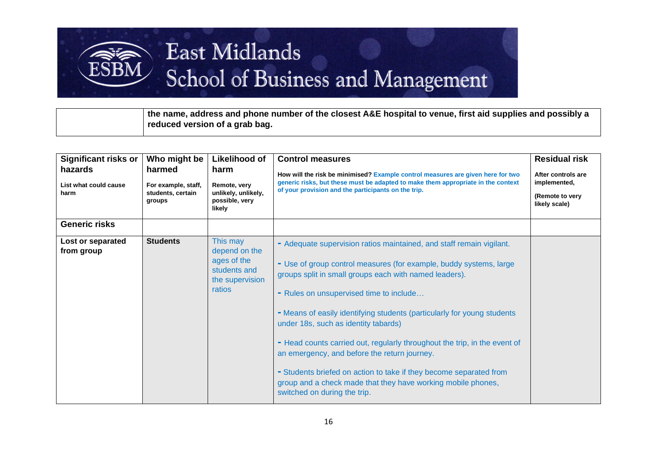**the name, address and phone number of the closest A&E hospital to venue, first aid supplies and possibly a reduced version of a grab bag.**

| <b>Significant risks or</b>              | Who might be                                                 | <b>Likelihood of</b>                                                                  | <b>Control measures</b>                                                                                                                                                                                                                                                                                                                                                                                                                                                                                                                                                                                                                                               | <b>Residual risk</b>                                                   |
|------------------------------------------|--------------------------------------------------------------|---------------------------------------------------------------------------------------|-----------------------------------------------------------------------------------------------------------------------------------------------------------------------------------------------------------------------------------------------------------------------------------------------------------------------------------------------------------------------------------------------------------------------------------------------------------------------------------------------------------------------------------------------------------------------------------------------------------------------------------------------------------------------|------------------------------------------------------------------------|
| hazards<br>List what could cause<br>harm | harmed<br>For example, staff,<br>students, certain<br>groups | harm<br>Remote, very<br>unlikely, unlikely,<br>possible, very<br>likely               | How will the risk be minimised? Example control measures are given here for two<br>generic risks, but these must be adapted to make them appropriate in the context<br>of your provision and the participants on the trip.                                                                                                                                                                                                                                                                                                                                                                                                                                            | After controls are<br>implemented,<br>(Remote to very<br>likely scale) |
| <b>Generic risks</b>                     |                                                              |                                                                                       |                                                                                                                                                                                                                                                                                                                                                                                                                                                                                                                                                                                                                                                                       |                                                                        |
| Lost or separated<br>from group          | <b>Students</b>                                              | This may<br>depend on the<br>ages of the<br>students and<br>the supervision<br>ratios | - Adequate supervision ratios maintained, and staff remain vigilant.<br>- Use of group control measures (for example, buddy systems, large<br>groups split in small groups each with named leaders).<br>- Rules on unsupervised time to include<br>- Means of easily identifying students (particularly for young students<br>under 18s, such as identity tabards)<br>- Head counts carried out, regularly throughout the trip, in the event of<br>an emergency, and before the return journey.<br>- Students briefed on action to take if they become separated from<br>group and a check made that they have working mobile phones,<br>switched on during the trip. |                                                                        |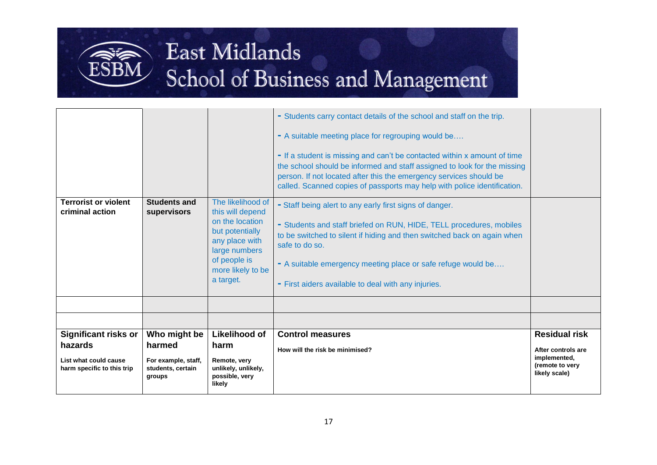# East Midlands

ESBM

# School of Business and Management

| <b>Significant risks or</b><br>hazards         | Who might be<br>harmed             | but potentially<br>any place with<br>large numbers<br>of people is<br>more likely to be<br>a target.<br>Likelihood of<br>harm | to be switched to silent if hiding and then switched back on again when<br>safe to do so.<br>- A suitable emergency meeting place or safe refuge would be<br>- First aiders available to deal with any injuries.<br><b>Control measures</b><br>How will the risk be minimised?                                                                                                                                                           | <b>Residual risk</b><br>After controls are<br>implemented, |
|------------------------------------------------|------------------------------------|-------------------------------------------------------------------------------------------------------------------------------|------------------------------------------------------------------------------------------------------------------------------------------------------------------------------------------------------------------------------------------------------------------------------------------------------------------------------------------------------------------------------------------------------------------------------------------|------------------------------------------------------------|
| <b>Terrorist or violent</b><br>criminal action | <b>Students and</b><br>supervisors | The likelihood of<br>this will depend<br>on the location                                                                      | - If a student is missing and can't be contacted within x amount of time<br>the school should be informed and staff assigned to look for the missing<br>person. If not located after this the emergency services should be<br>called. Scanned copies of passports may help with police identification.<br>- Staff being alert to any early first signs of danger.<br>- Students and staff briefed on RUN, HIDE, TELL procedures, mobiles |                                                            |
|                                                |                                    |                                                                                                                               | - Students carry contact details of the school and staff on the trip.<br>- A suitable meeting place for regrouping would be                                                                                                                                                                                                                                                                                                              |                                                            |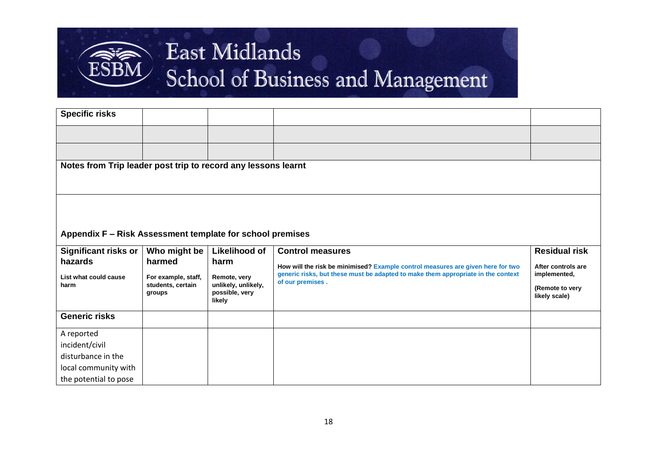

| <b>Specific risks</b>                                         |                     |                          |                                                                                  |                      |
|---------------------------------------------------------------|---------------------|--------------------------|----------------------------------------------------------------------------------|----------------------|
|                                                               |                     |                          |                                                                                  |                      |
|                                                               |                     |                          |                                                                                  |                      |
| Notes from Trip leader post trip to record any lessons learnt |                     |                          |                                                                                  |                      |
|                                                               |                     |                          |                                                                                  |                      |
|                                                               |                     |                          |                                                                                  |                      |
|                                                               |                     |                          |                                                                                  |                      |
|                                                               |                     |                          |                                                                                  |                      |
| Appendix F - Risk Assessment template for school premises     |                     |                          |                                                                                  |                      |
| <b>Significant risks or</b>                                   | Who might be        | Likelihood of            | <b>Control measures</b>                                                          | <b>Residual risk</b> |
| hazards                                                       | harmed              | harm                     | How will the risk be minimised? Example control measures are given here for two  | After controls are   |
| List what could cause                                         | For example, staff, | Remote, very             | generic risks, but these must be adapted to make them appropriate in the context | implemented,         |
| harm                                                          | students, certain   | unlikely, unlikely,      | of our premises.                                                                 | (Remote to very      |
|                                                               | groups              | possible, very<br>likely |                                                                                  | likely scale)        |
| <b>Generic risks</b>                                          |                     |                          |                                                                                  |                      |
| A reported                                                    |                     |                          |                                                                                  |                      |
| incident/civil                                                |                     |                          |                                                                                  |                      |
| disturbance in the                                            |                     |                          |                                                                                  |                      |
| local community with                                          |                     |                          |                                                                                  |                      |
| the potential to pose                                         |                     |                          |                                                                                  |                      |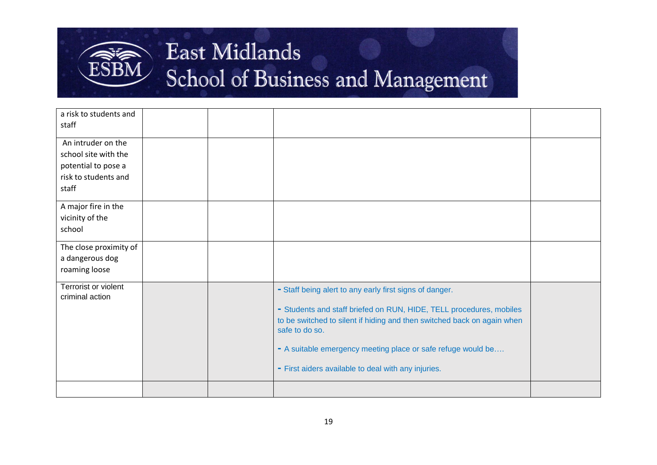

| a risk to students and<br>staff                                                                    |  |                                                                                                                                                                                                                                                                                                                                                    |  |
|----------------------------------------------------------------------------------------------------|--|----------------------------------------------------------------------------------------------------------------------------------------------------------------------------------------------------------------------------------------------------------------------------------------------------------------------------------------------------|--|
| An intruder on the<br>school site with the<br>potential to pose a<br>risk to students and<br>staff |  |                                                                                                                                                                                                                                                                                                                                                    |  |
| A major fire in the<br>vicinity of the<br>school                                                   |  |                                                                                                                                                                                                                                                                                                                                                    |  |
| The close proximity of<br>a dangerous dog<br>roaming loose                                         |  |                                                                                                                                                                                                                                                                                                                                                    |  |
| Terrorist or violent<br>criminal action                                                            |  | - Staff being alert to any early first signs of danger.<br>- Students and staff briefed on RUN, HIDE, TELL procedures, mobiles<br>to be switched to silent if hiding and then switched back on again when<br>safe to do so.<br>- A suitable emergency meeting place or safe refuge would be<br>- First aiders available to deal with any injuries. |  |
|                                                                                                    |  |                                                                                                                                                                                                                                                                                                                                                    |  |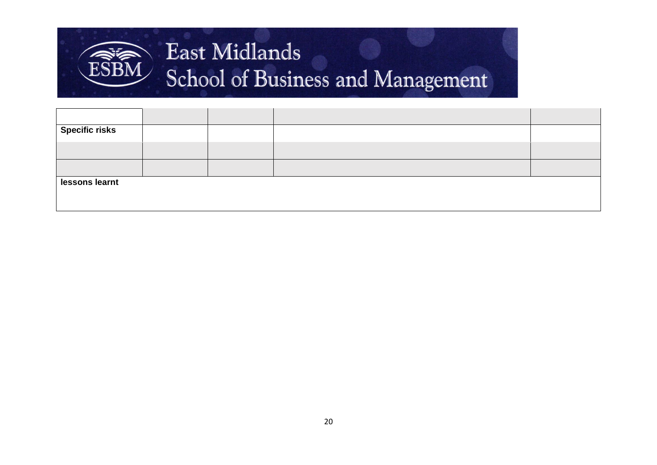

| <b>Specific risks</b> |  |  |  |  |  |  |  |
|-----------------------|--|--|--|--|--|--|--|
|                       |  |  |  |  |  |  |  |
|                       |  |  |  |  |  |  |  |
| lessons learnt        |  |  |  |  |  |  |  |
|                       |  |  |  |  |  |  |  |